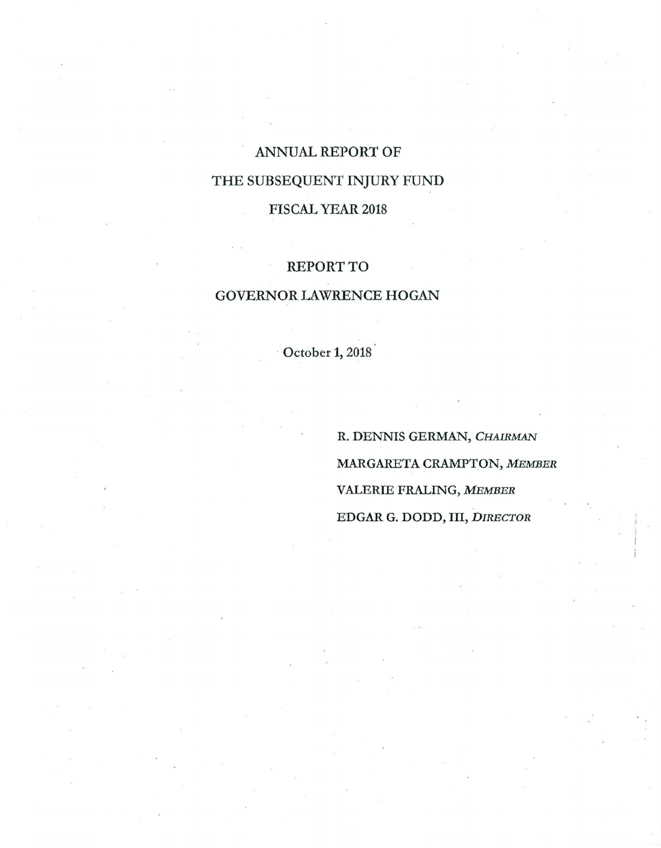# ANNUAL REPORT OF THE SUBSEQUENT INJURY FUND FISCAL YEAR 2018

## REPORT TO

## GOVERNOR LAWRENCE HOGAN

· October 1, 2018

R. DENNIS GERMAN, CHAIRMAN MARGARETA CRAMPTON, *MEMBER*  VALERIE FRALING, *MEMBER*  EDGAR G. DODD, III, *DIRECTOR*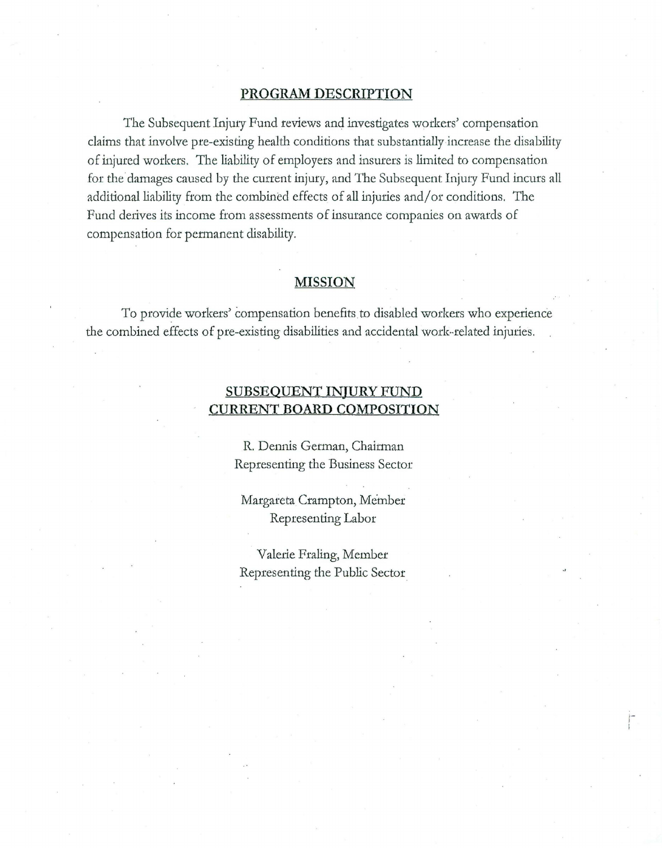#### **PROGRAM DESCRIPTION**

The Subsequent Injury Fund reviews and investigates workers' compensation claims that involve pre-existing health conditions that substantially increase the disability of injured workers. The liability of employers and insurers is limited to compensation for the damages caused by the current injury, and The Subsequent Injury Fund incurs all additional liability from the combined effects of all injuries and/or conditions. The Fund derives its income from assessments of insurance companies on awards of compensation for pennanent disability.

#### **MISSION**

To provide workers' compensation benefits to disabled workers who experience the combined effects of pre-existing disabilities and accidental work-related injuries.

### **SUBSEQUENT INJURY FUND CURRENT BOARD COMPOSITION**

R. Dennis German, Chairman Representing the Business Sector

Margareta Crampton, Member Representing Labor

Valerie Fraling, Member Representing the Public Sector